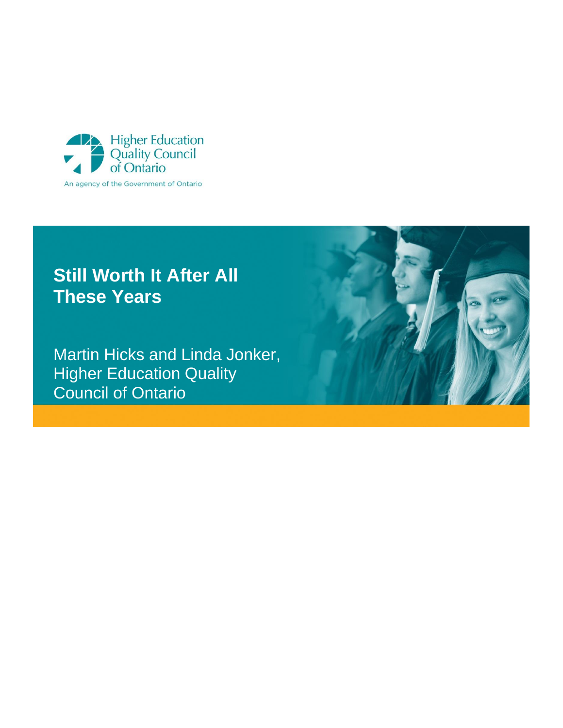

# **Still Worth It After All These Years**

Martin Hicks and Linda Jonker, **Higher Education Quality** Council of Ontario

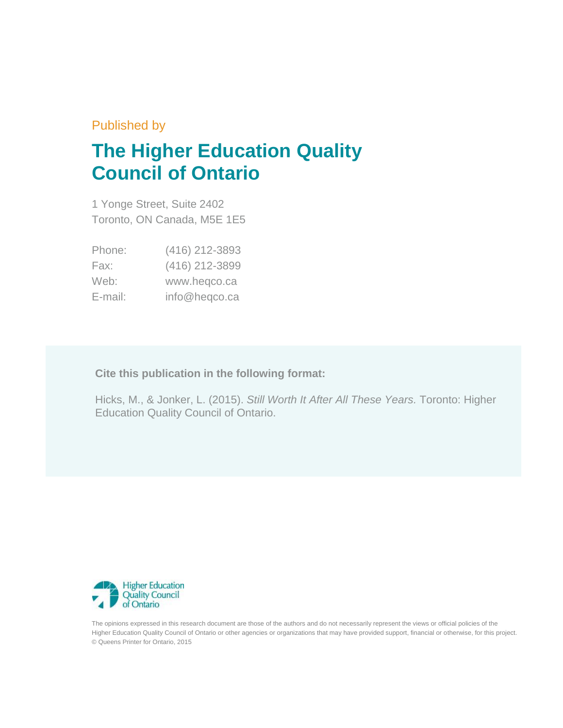### Published by

# **The Higher Education Quality Council of Ontario**

1 Yonge Street, Suite 2402 Toronto, ON Canada, M5E 1E5

| Phone:  | (416) 212-3893 |
|---------|----------------|
| Fax:    | (416) 212-3899 |
| Web:    | www.heqco.ca   |
| E-mail: | info@heqco.ca  |

**Cite this publication in the following format:**

Hicks, M., & Jonker, L. (2015). *Still Worth It After All These Years.* Toronto: Higher Education Quality Council of Ontario.



The opinions expressed in this research document are those of the authors and do not necessarily represent the views or official policies of the Higher Education Quality Council of Ontario or other agencies or organizations that may have provided support, financial or otherwise, for this project. © Queens Printer for Ontario, 2015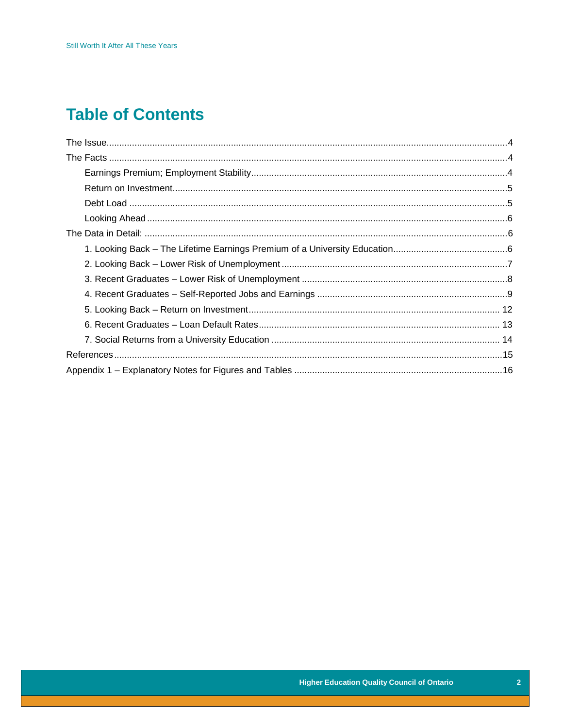## **Table of Contents**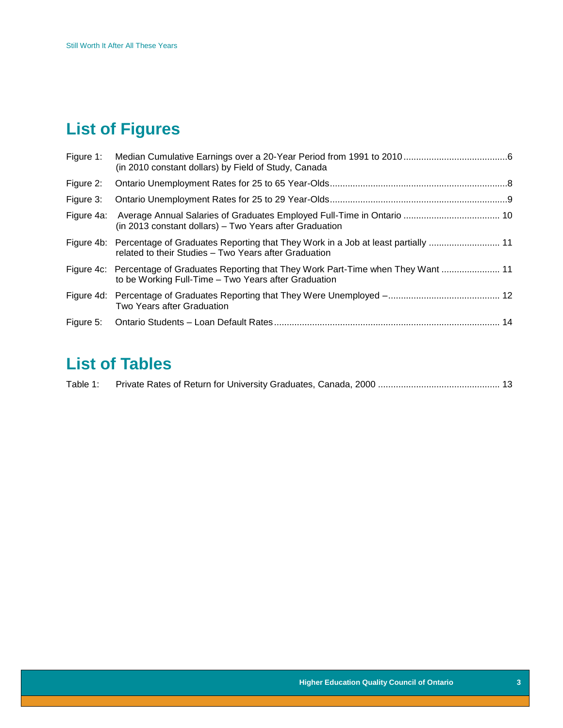# **List of Figures**

| Figure 1: | (in 2010 constant dollars) by Field of Study, Canada                                                                                             |  |
|-----------|--------------------------------------------------------------------------------------------------------------------------------------------------|--|
| Figure 2: |                                                                                                                                                  |  |
| Figure 3: |                                                                                                                                                  |  |
|           | (in 2013 constant dollars) – Two Years after Graduation                                                                                          |  |
|           | related to their Studies - Two Years after Graduation                                                                                            |  |
|           | Figure 4c: Percentage of Graduates Reporting that They Work Part-Time when They Want  11<br>to be Working Full-Time - Two Years after Graduation |  |
|           | Two Years after Graduation                                                                                                                       |  |
|           |                                                                                                                                                  |  |

## **List of Tables**

| Table 1: |  |  |
|----------|--|--|
|          |  |  |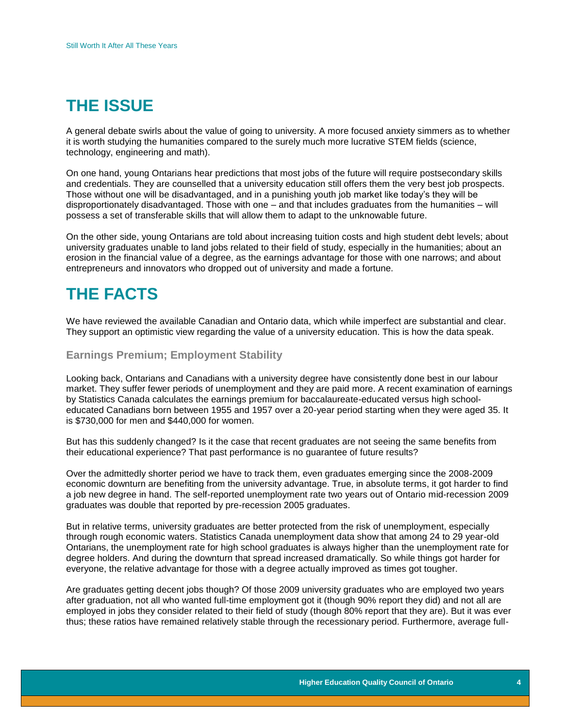### <span id="page-4-0"></span>**THE ISSUE**

A general debate swirls about the value of going to university. A more focused anxiety simmers as to whether it is worth studying the humanities compared to the surely much more lucrative STEM fields (science, technology, engineering and math).

On one hand, young Ontarians hear predictions that most jobs of the future will require postsecondary skills and credentials. They are counselled that a university education still offers them the very best job prospects. Those without one will be disadvantaged, and in a punishing youth job market like today's they will be disproportionately disadvantaged. Those with one – and that includes graduates from the humanities – will possess a set of transferable skills that will allow them to adapt to the unknowable future.

On the other side, young Ontarians are told about increasing tuition costs and high student debt levels; about university graduates unable to land jobs related to their field of study, especially in the humanities; about an erosion in the financial value of a degree, as the earnings advantage for those with one narrows; and about entrepreneurs and innovators who dropped out of university and made a fortune.

## <span id="page-4-1"></span>**THE FACTS**

We have reviewed the available Canadian and Ontario data, which while imperfect are substantial and clear. They support an optimistic view regarding the value of a university education. This is how the data speak.

#### <span id="page-4-2"></span>**Earnings Premium; Employment Stability**

Looking back, Ontarians and Canadians with a university degree have consistently done best in our labour market. They suffer fewer periods of unemployment and they are paid more. A recent examination of earnings by Statistics Canada calculates the earnings premium for baccalaureate-educated versus high schooleducated Canadians born between 1955 and 1957 over a 20-year period starting when they were aged 35. It is \$730,000 for men and \$440,000 for women.

But has this suddenly changed? Is it the case that recent graduates are not seeing the same benefits from their educational experience? That past performance is no guarantee of future results?

Over the admittedly shorter period we have to track them, even graduates emerging since the 2008-2009 economic downturn are benefiting from the university advantage. True, in absolute terms, it got harder to find a job new degree in hand. The self-reported unemployment rate two years out of Ontario mid-recession 2009 graduates was double that reported by pre-recession 2005 graduates.

But in relative terms, university graduates are better protected from the risk of unemployment, especially through rough economic waters. Statistics Canada unemployment data show that among 24 to 29 year-old Ontarians, the unemployment rate for high school graduates is always higher than the unemployment rate for degree holders. And during the downturn that spread increased dramatically. So while things got harder for everyone, the relative advantage for those with a degree actually improved as times got tougher.

Are graduates getting decent jobs though? Of those 2009 university graduates who are employed two years after graduation, not all who wanted full-time employment got it (though 90% report they did) and not all are employed in jobs they consider related to their field of study (though 80% report that they are). But it was ever thus; these ratios have remained relatively stable through the recessionary period. Furthermore, average full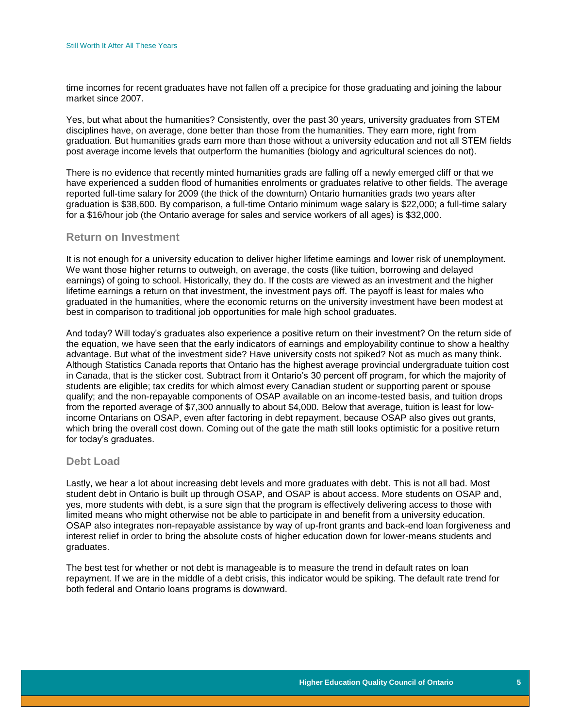time incomes for recent graduates have not fallen off a precipice for those graduating and joining the labour market since 2007.

Yes, but what about the humanities? Consistently, over the past 30 years, university graduates from STEM disciplines have, on average, done better than those from the humanities. They earn more, right from graduation. But humanities grads earn more than those without a university education and not all STEM fields post average income levels that outperform the humanities (biology and agricultural sciences do not).

There is no evidence that recently minted humanities grads are falling off a newly emerged cliff or that we have experienced a sudden flood of humanities enrolments or graduates relative to other fields. The average reported full-time salary for 2009 (the thick of the downturn) Ontario humanities grads two years after graduation is \$38,600. By comparison, a full-time Ontario minimum wage salary is \$22,000; a full-time salary for a \$16/hour job (the Ontario average for sales and service workers of all ages) is \$32,000.

#### <span id="page-5-0"></span>**Return on Investment**

It is not enough for a university education to deliver higher lifetime earnings and lower risk of unemployment. We want those higher returns to outweigh, on average, the costs (like tuition, borrowing and delayed earnings) of going to school. Historically, they do. If the costs are viewed as an investment and the higher lifetime earnings a return on that investment, the investment pays off. The payoff is least for males who graduated in the humanities, where the economic returns on the university investment have been modest at best in comparison to traditional job opportunities for male high school graduates.

And today? Will today's graduates also experience a positive return on their investment? On the return side of the equation, we have seen that the early indicators of earnings and employability continue to show a healthy advantage. But what of the investment side? Have university costs not spiked? Not as much as many think. Although Statistics Canada reports that Ontario has the highest average provincial undergraduate tuition cost in Canada, that is the sticker cost. Subtract from it Ontario's 30 percent off program, for which the majority of students are eligible; tax credits for which almost every Canadian student or supporting parent or spouse qualify; and the non-repayable components of OSAP available on an income-tested basis, and tuition drops from the reported average of \$7,300 annually to about \$4,000. Below that average, tuition is least for lowincome Ontarians on OSAP, even after factoring in debt repayment, because OSAP also gives out grants, which bring the overall cost down. Coming out of the gate the math still looks optimistic for a positive return for today's graduates.

#### <span id="page-5-1"></span>**Debt Load**

Lastly, we hear a lot about increasing debt levels and more graduates with debt. This is not all bad. Most student debt in Ontario is built up through OSAP, and OSAP is about access. More students on OSAP and, yes, more students with debt, is a sure sign that the program is effectively delivering access to those with limited means who might otherwise not be able to participate in and benefit from a university education. OSAP also integrates non-repayable assistance by way of up-front grants and back-end loan forgiveness and interest relief in order to bring the absolute costs of higher education down for lower-means students and graduates.

The best test for whether or not debt is manageable is to measure the trend in default rates on loan repayment. If we are in the middle of a debt crisis, this indicator would be spiking. The default rate trend for both federal and Ontario loans programs is downward.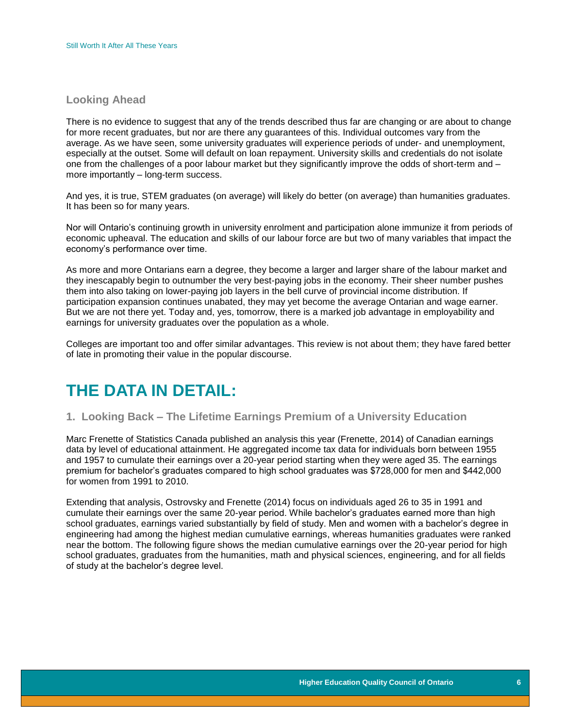#### <span id="page-6-0"></span>**Looking Ahead**

There is no evidence to suggest that any of the trends described thus far are changing or are about to change for more recent graduates, but nor are there any guarantees of this. Individual outcomes vary from the average. As we have seen, some university graduates will experience periods of under- and unemployment, especially at the outset. Some will default on loan repayment. University skills and credentials do not isolate one from the challenges of a poor labour market but they significantly improve the odds of short-term and – more importantly – long-term success.

And yes, it is true, STEM graduates (on average) will likely do better (on average) than humanities graduates. It has been so for many years.

Nor will Ontario's continuing growth in university enrolment and participation alone immunize it from periods of economic upheaval. The education and skills of our labour force are but two of many variables that impact the economy's performance over time.

As more and more Ontarians earn a degree, they become a larger and larger share of the labour market and they inescapably begin to outnumber the very best-paying jobs in the economy. Their sheer number pushes them into also taking on lower-paying job layers in the bell curve of provincial income distribution. If participation expansion continues unabated, they may yet become the average Ontarian and wage earner. But we are not there yet. Today and, yes, tomorrow, there is a marked job advantage in employability and earnings for university graduates over the population as a whole.

Colleges are important too and offer similar advantages. This review is not about them; they have fared better of late in promoting their value in the popular discourse.

### <span id="page-6-1"></span>**THE DATA IN DETAIL:**

#### <span id="page-6-2"></span>**1. Looking Back – The Lifetime Earnings Premium of a University Education**

Marc Frenette of Statistics Canada published an analysis this year (Frenette, 2014) of Canadian earnings data by level of educational attainment. He aggregated income tax data for individuals born between 1955 and 1957 to cumulate their earnings over a 20-year period starting when they were aged 35. The earnings premium for bachelor's graduates compared to high school graduates was \$728,000 for men and \$442,000 for women from 1991 to 2010.

<span id="page-6-3"></span>Extending that analysis, Ostrovsky and Frenette (2014) focus on individuals aged 26 to 35 in 1991 and cumulate their earnings over the same 20-year period. While bachelor's graduates earned more than high school graduates, earnings varied substantially by field of study. Men and women with a bachelor's degree in engineering had among the highest median cumulative earnings, whereas humanities graduates were ranked near the bottom. The following figure shows the median cumulative earnings over the 20-year period for high school graduates, graduates from the humanities, math and physical sciences, engineering, and for all fields of study at the bachelor's degree level.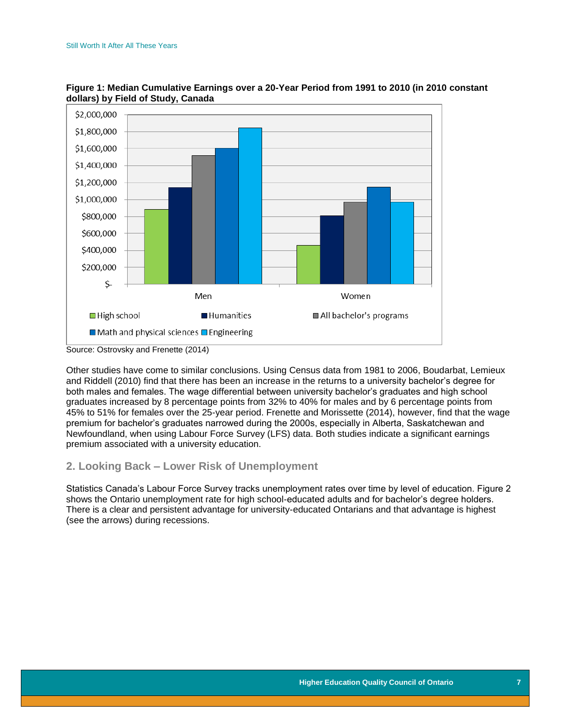

**Figure 1: Median Cumulative Earnings over a 20-Year Period from 1991 to 2010 (in 2010 constant dollars) by Field of Study, Canada**

Other studies have come to similar conclusions. Using Census data from 1981 to 2006, Boudarbat, Lemieux and Riddell (2010) find that there has been an increase in the returns to a university bachelor's degree for both males and females. The wage differential between university bachelor's graduates and high school graduates increased by 8 percentage points from 32% to 40% for males and by 6 percentage points from 45% to 51% for females over the 25-year period. Frenette and Morissette (2014), however, find that the wage premium for bachelor's graduates narrowed during the 2000s, especially in Alberta, Saskatchewan and Newfoundland, when using Labour Force Survey (LFS) data. Both studies indicate a significant earnings premium associated with a university education.

#### <span id="page-7-0"></span>**2. Looking Back – Lower Risk of Unemployment**

<span id="page-7-1"></span>Statistics Canada's Labour Force Survey tracks unemployment rates over time by level of education. Figure 2 shows the Ontario unemployment rate for high school-educated adults and for bachelor's degree holders. There is a clear and persistent advantage for university-educated Ontarians and that advantage is highest (see the arrows) during recessions.

Source: Ostrovsky and Frenette (2014)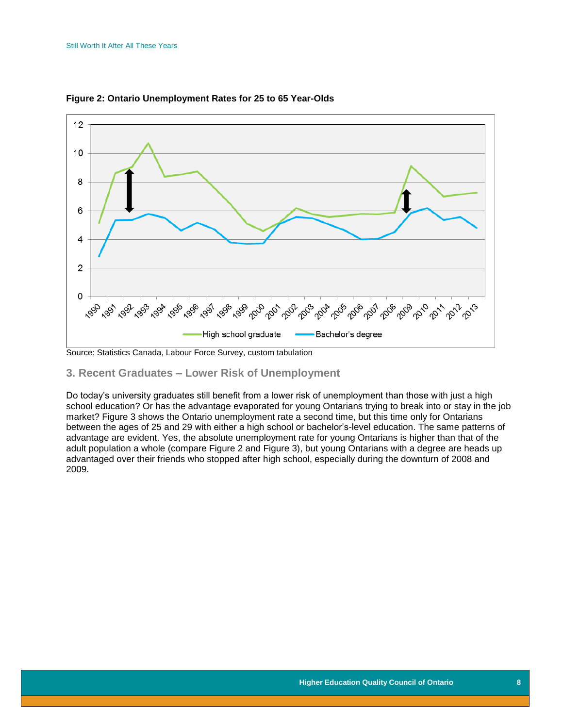

**Figure 2: Ontario Unemployment Rates for 25 to 65 Year-Olds**

Source: Statistics Canada, Labour Force Survey, custom tabulation

#### <span id="page-8-0"></span>**3. Recent Graduates – Lower Risk of Unemployment**

Do today's university graduates still benefit from a lower risk of unemployment than those with just a high school education? Or has the advantage evaporated for young Ontarians trying to break into or stay in the job market? Figure 3 shows the Ontario unemployment rate a second time, but this time only for Ontarians between the ages of 25 and 29 with either a high school or bachelor's-level education. The same patterns of advantage are evident. Yes, the absolute unemployment rate for young Ontarians is higher than that of the adult population a whole (compare Figure 2 and Figure 3), but young Ontarians with a degree are heads up advantaged over their friends who stopped after high school, especially during the downturn of 2008 and 2009.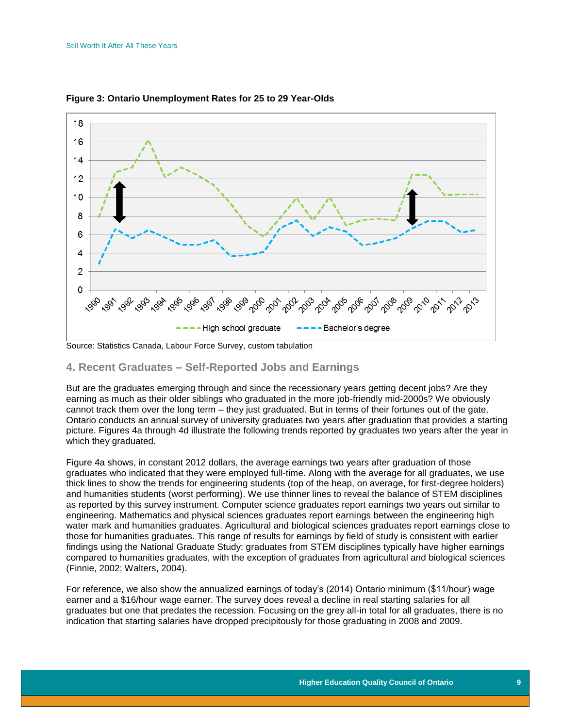

<span id="page-9-1"></span>**Figure 3: Ontario Unemployment Rates for 25 to 29 Year-Olds**

#### <span id="page-9-0"></span>**4. Recent Graduates – Self-Reported Jobs and Earnings**

But are the graduates emerging through and since the recessionary years getting decent jobs? Are they earning as much as their older siblings who graduated in the more job-friendly mid-2000s? We obviously cannot track them over the long term – they just graduated. But in terms of their fortunes out of the gate, Ontario conducts an annual survey of university graduates two years after graduation that provides a starting picture. Figures 4a through 4d illustrate the following trends reported by graduates two years after the year in which they graduated.

Figure 4a shows, in constant 2012 dollars, the average earnings two years after graduation of those graduates who indicated that they were employed full-time. Along with the average for all graduates, we use thick lines to show the trends for engineering students (top of the heap, on average, for first-degree holders) and humanities students (worst performing). We use thinner lines to reveal the balance of STEM disciplines as reported by this survey instrument. Computer science graduates report earnings two years out similar to engineering. Mathematics and physical sciences graduates report earnings between the engineering high water mark and humanities graduates. Agricultural and biological sciences graduates report earnings close to those for humanities graduates. This range of results for earnings by field of study is consistent with earlier findings using the National Graduate Study: graduates from STEM disciplines typically have higher earnings compared to humanities graduates, with the exception of graduates from agricultural and biological sciences (Finnie, 2002; Walters, 2004).

For reference, we also show the annualized earnings of today's (2014) Ontario minimum (\$11/hour) wage earner and a \$16/hour wage earner. The survey does reveal a decline in real starting salaries for all graduates but one that predates the recession. Focusing on the grey all-in total for all graduates, there is no indication that starting salaries have dropped precipitously for those graduating in 2008 and 2009.

Source: Statistics Canada, Labour Force Survey, custom tabulation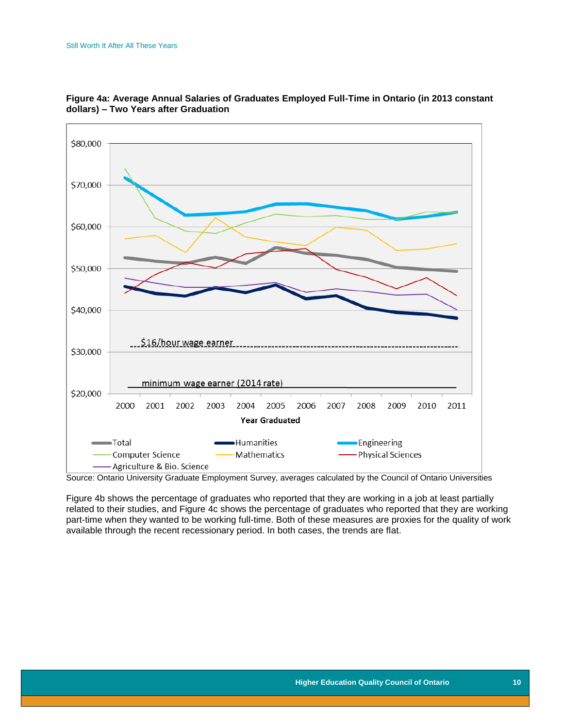

<span id="page-10-0"></span>

Source: Ontario University Graduate Employment Survey, averages calculated by the Council of Ontario Universities

<span id="page-10-1"></span>Figure 4b shows the percentage of graduates who reported that they are working in a job at least partially related to their studies, and Figure 4c shows the percentage of graduates who reported that they are working part-time when they wanted to be working full-time. Both of these measures are proxies for the quality of work available through the recent recessionary period. In both cases, the trends are flat.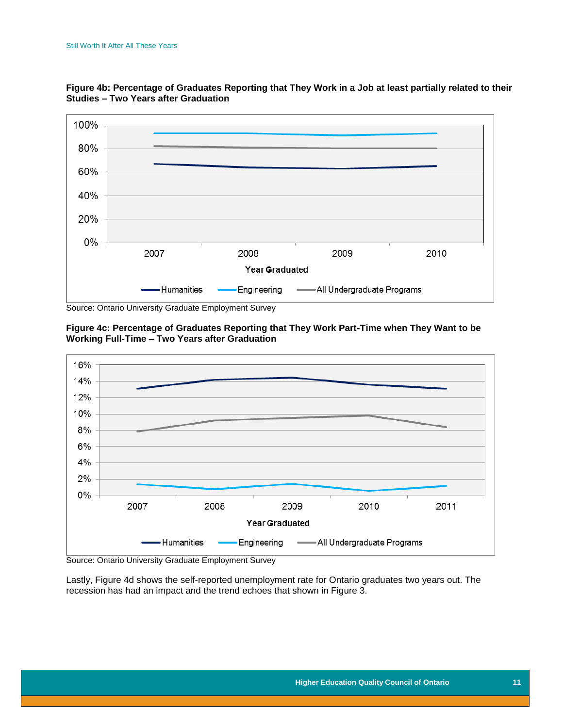

**Figure 4b: Percentage of Graduates Reporting that They Work in a Job at least partially related to their Studies – Two Years after Graduation**

Source: Ontario University Graduate Employment Survey

<span id="page-11-0"></span>



Source: Ontario University Graduate Employment Survey

<span id="page-11-1"></span>Lastly, Figure 4d shows the self-reported unemployment rate for Ontario graduates two years out. The recession has had an impact and the trend echoes that shown in Figure 3.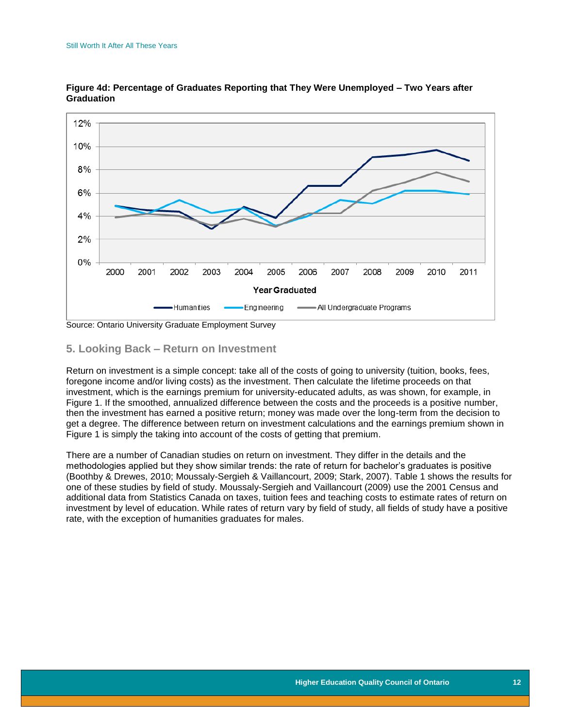

**Figure 4d: Percentage of Graduates Reporting that They Were Unemployed – Two Years after Graduation**

<span id="page-12-0"></span>Source: Ontario University Graduate Employment Survey

#### **5. Looking Back – Return on Investment**

Return on investment is a simple concept: take all of the costs of going to university (tuition, books, fees, foregone income and/or living costs) as the investment. Then calculate the lifetime proceeds on that investment, which is the earnings premium for university-educated adults, as was shown, for example, in Figure 1. If the smoothed, annualized difference between the costs and the proceeds is a positive number, then the investment has earned a positive return; money was made over the long-term from the decision to get a degree. The difference between return on investment calculations and the earnings premium shown in Figure 1 is simply the taking into account of the costs of getting that premium.

<span id="page-12-1"></span>There are a number of Canadian studies on return on investment. They differ in the details and the methodologies applied but they show similar trends: the rate of return for bachelor's graduates is positive (Boothby & Drewes, 2010; Moussaly-Sergieh & Vaillancourt, 2009; Stark, 2007). Table 1 shows the results for one of these studies by field of study. Moussaly-Sergieh and Vaillancourt (2009) use the 2001 Census and additional data from Statistics Canada on taxes, tuition fees and teaching costs to estimate rates of return on investment by level of education. While rates of return vary by field of study, all fields of study have a positive rate, with the exception of humanities graduates for males.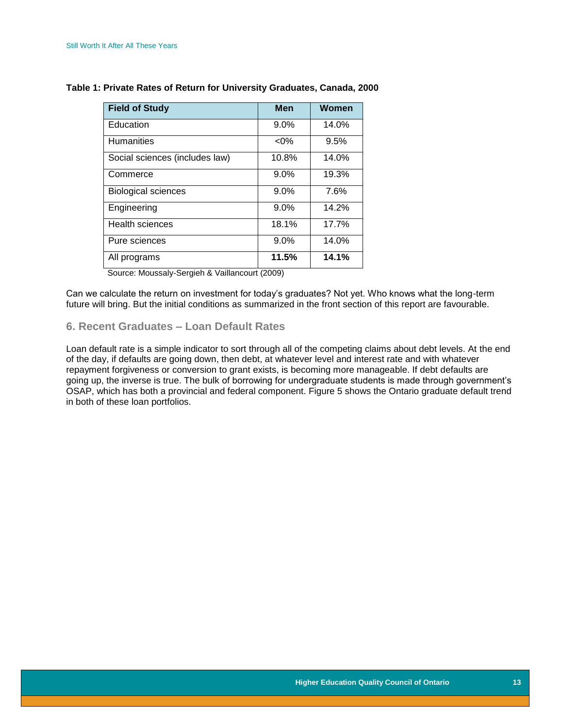| <b>Field of Study</b>          | Men     | Women |
|--------------------------------|---------|-------|
| Education                      | $9.0\%$ | 14.0% |
| <b>Humanities</b>              | $< 0\%$ | 9.5%  |
| Social sciences (includes law) | 10.8%   | 14.0% |
| Commerce                       | $9.0\%$ | 19.3% |
| <b>Biological sciences</b>     | 9.0%    | 7.6%  |
| Engineering                    | $9.0\%$ | 14.2% |
| <b>Health sciences</b>         | 18.1%   | 17.7% |
| Pure sciences                  | 9.0%    | 14.0% |
| All programs                   | 11.5%   | 14.1% |

#### **Table 1: Private Rates of Return for University Graduates, Canada, 2000**

Source: Moussaly-Sergieh & Vaillancourt (2009)

Can we calculate the return on investment for today's graduates? Not yet. Who knows what the long-term future will bring. But the initial conditions as summarized in the front section of this report are favourable.

#### <span id="page-13-0"></span>**6. Recent Graduates – Loan Default Rates**

<span id="page-13-1"></span>Loan default rate is a simple indicator to sort through all of the competing claims about debt levels. At the end of the day, if defaults are going down, then debt, at whatever level and interest rate and with whatever repayment forgiveness or conversion to grant exists, is becoming more manageable. If debt defaults are going up, the inverse is true. The bulk of borrowing for undergraduate students is made through government's OSAP, which has both a provincial and federal component. Figure 5 shows the Ontario graduate default trend in both of these loan portfolios.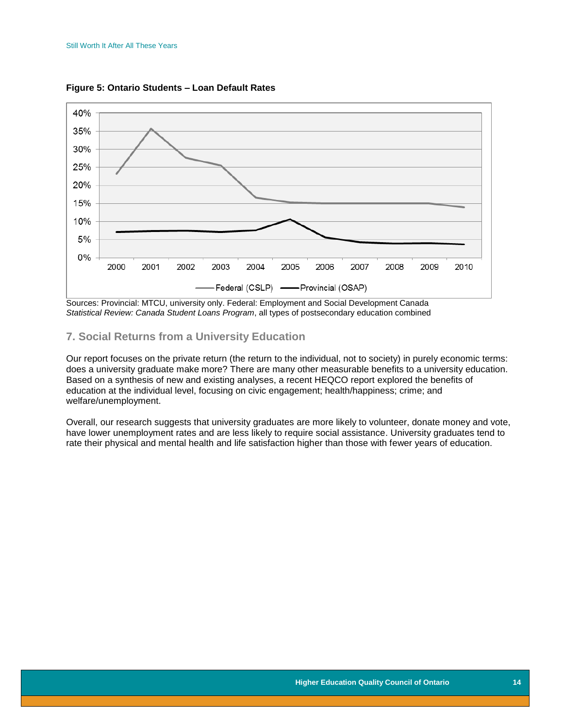

**Figure 5: Ontario Students – Loan Default Rates**

Sources: Provincial: MTCU, university only. Federal: Employment and Social Development Canada *Statistical Review: Canada Student Loans Program*, all types of postsecondary education combined

#### <span id="page-14-0"></span>**7. Social Returns from a University Education**

Our report focuses on the private return (the return to the individual, not to society) in purely economic terms: does a university graduate make more? There are many other measurable benefits to a university education. Based on a synthesis of new and existing analyses, a recent HEQCO report explored the benefits of education at the individual level, focusing on civic engagement; health/happiness; crime; and welfare/unemployment.

Overall, our research suggests that university graduates are more likely to volunteer, donate money and vote, have lower unemployment rates and are less likely to require social assistance. University graduates tend to rate their physical and mental health and life satisfaction higher than those with fewer years of education.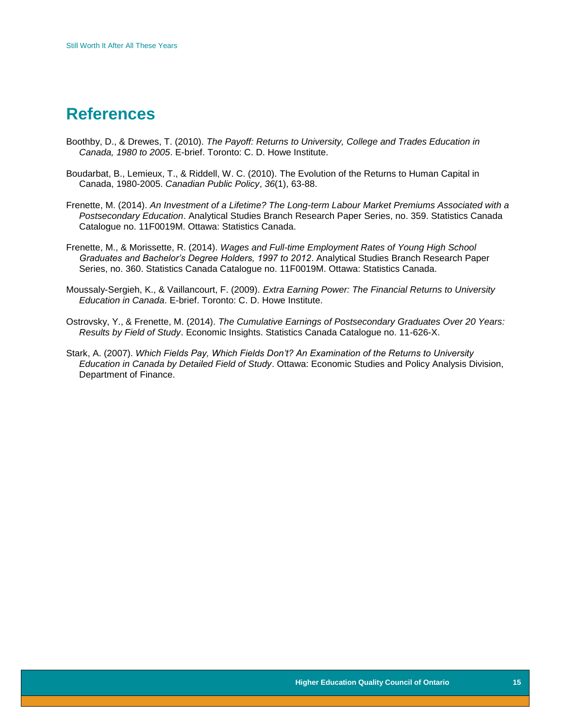### <span id="page-15-0"></span>**References**

- Boothby, D., & Drewes, T. (2010). *The Payoff: Returns to University, College and Trades Education in Canada, 1980 to 2005*. E-brief. Toronto: C. D. Howe Institute.
- Boudarbat, B., Lemieux, T., & Riddell, W. C. (2010). The Evolution of the Returns to Human Capital in Canada, 1980-2005. *Canadian Public Policy*, *36*(1), 63-88.
- Frenette, M. (2014). *An Investment of a Lifetime? The Long-term Labour Market Premiums Associated with a Postsecondary Education*. Analytical Studies Branch Research Paper Series, no. 359. Statistics Canada Catalogue no. 11F0019M. Ottawa: Statistics Canada.
- Frenette, M., & Morissette, R. (2014). *Wages and Full-time Employment Rates of Young High School Graduates and Bachelor's Degree Holders, 1997 to 2012*. Analytical Studies Branch Research Paper Series, no. 360. Statistics Canada Catalogue no. 11F0019M. Ottawa: Statistics Canada.
- Moussaly-Sergieh, K., & Vaillancourt, F. (2009). *Extra Earning Power: The Financial Returns to University Education in Canada*. E-brief. Toronto: C. D. Howe Institute.
- Ostrovsky, Y., & Frenette, M. (2014). *The Cumulative Earnings of Postsecondary Graduates Over 20 Years: Results by Field of Study*. Economic Insights. Statistics Canada Catalogue no. 11-626-X.
- Stark, A. (2007). *Which Fields Pay, Which Fields Don't? An Examination of the Returns to University Education in Canada by Detailed Field of Study*. Ottawa: Economic Studies and Policy Analysis Division, Department of Finance.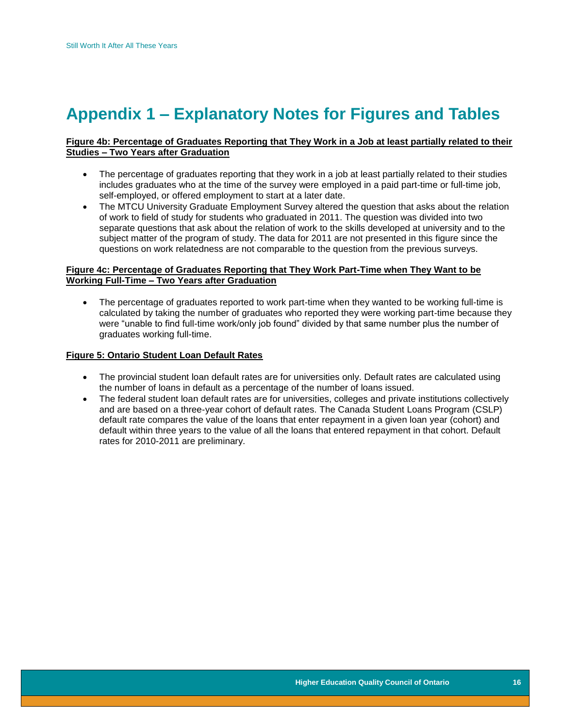# <span id="page-16-0"></span>**Appendix 1 – Explanatory Notes for Figures and Tables**

#### **Figure 4b: Percentage of Graduates Reporting that They Work in a Job at least partially related to their Studies – Two Years after Graduation**

- The percentage of graduates reporting that they work in a job at least partially related to their studies includes graduates who at the time of the survey were employed in a paid part-time or full-time job, self-employed, or offered employment to start at a later date.
- The MTCU University Graduate Employment Survey altered the question that asks about the relation of work to field of study for students who graduated in 2011. The question was divided into two separate questions that ask about the relation of work to the skills developed at university and to the subject matter of the program of study. The data for 2011 are not presented in this figure since the questions on work relatedness are not comparable to the question from the previous surveys.

#### **Figure 4c: Percentage of Graduates Reporting that They Work Part-Time when They Want to be Working Full-Time – Two Years after Graduation**

• The percentage of graduates reported to work part-time when they wanted to be working full-time is calculated by taking the number of graduates who reported they were working part-time because they were "unable to find full-time work/only job found" divided by that same number plus the number of graduates working full-time.

#### **Figure 5: Ontario Student Loan Default Rates**

- The provincial student loan default rates are for universities only. Default rates are calculated using the number of loans in default as a percentage of the number of loans issued.
- The federal student loan default rates are for universities, colleges and private institutions collectively and are based on a three-year cohort of default rates. The Canada Student Loans Program (CSLP) default rate compares the value of the loans that enter repayment in a given loan year (cohort) and default within three years to the value of all the loans that entered repayment in that cohort. Default rates for 2010-2011 are preliminary.